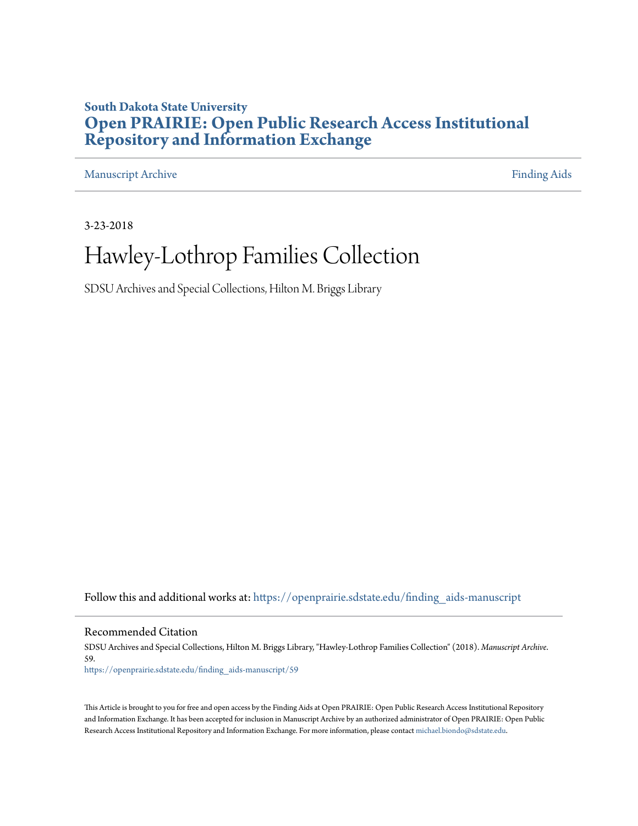### **South Dakota State University [Open PRAIRIE: Open Public Research Access Institutional](https://openprairie.sdstate.edu?utm_source=openprairie.sdstate.edu%2Ffinding_aids-manuscript%2F59&utm_medium=PDF&utm_campaign=PDFCoverPages) [Repository and Information Exchange](https://openprairie.sdstate.edu?utm_source=openprairie.sdstate.edu%2Ffinding_aids-manuscript%2F59&utm_medium=PDF&utm_campaign=PDFCoverPages)**

[Manuscript Archive](https://openprairie.sdstate.edu/finding_aids-manuscript?utm_source=openprairie.sdstate.edu%2Ffinding_aids-manuscript%2F59&utm_medium=PDF&utm_campaign=PDFCoverPages) **[Finding Aids](https://openprairie.sdstate.edu/finding_aids?utm_source=openprairie.sdstate.edu%2Ffinding_aids-manuscript%2F59&utm_medium=PDF&utm_campaign=PDFCoverPages) Finding Aids** 

3-23-2018

# Hawley-Lothrop Families Collection

SDSU Archives and Special Collections, Hilton M. Briggs Library

Follow this and additional works at: [https://openprairie.sdstate.edu/finding\\_aids-manuscript](https://openprairie.sdstate.edu/finding_aids-manuscript?utm_source=openprairie.sdstate.edu%2Ffinding_aids-manuscript%2F59&utm_medium=PDF&utm_campaign=PDFCoverPages)

Recommended Citation

SDSU Archives and Special Collections, Hilton M. Briggs Library, "Hawley-Lothrop Families Collection" (2018). *Manuscript Archive*. 59. [https://openprairie.sdstate.edu/finding\\_aids-manuscript/59](https://openprairie.sdstate.edu/finding_aids-manuscript/59?utm_source=openprairie.sdstate.edu%2Ffinding_aids-manuscript%2F59&utm_medium=PDF&utm_campaign=PDFCoverPages)

This Article is brought to you for free and open access by the Finding Aids at Open PRAIRIE: Open Public Research Access Institutional Repository and Information Exchange. It has been accepted for inclusion in Manuscript Archive by an authorized administrator of Open PRAIRIE: Open Public Research Access Institutional Repository and Information Exchange. For more information, please contact [michael.biondo@sdstate.edu.](mailto:michael.biondo@sdstate.edu)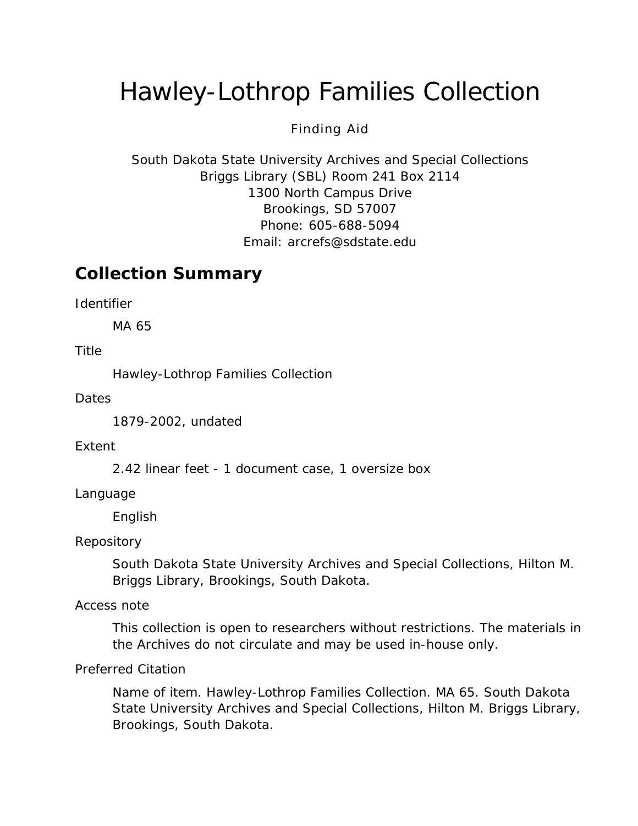# Hawley-Lothrop Families Collection

#### Finding Aid

South Dakota State University Archives and Special Collections Briggs Library (SBL) Room 241 Box 2114 1300 North Campus Drive Brookings, SD 57007 Phone: 605-688-5094 Email: [arcrefs@sdstate.edu](mailto:arcrefs@sdstate.edu)

### **Collection Summary**

*Identifier*

MA 65

*Title*

Hawley-Lothrop Families Collection

*Dates*

1879-2002, undated

#### *Extent*

2.42 linear feet - 1 document case, 1 oversize box

#### *Language*

English

#### *Repository*

South Dakota State University Archives and Special Collections, Hilton M. Briggs Library, Brookings, South Dakota.

#### *Access note*

This collection is open to researchers without restrictions. The materials in the Archives do not circulate and may be used in-house only.

#### *Preferred Citation*

*Name of item*. Hawley-Lothrop Families Collection. MA 65. South Dakota State University Archives and Special Collections, Hilton M. Briggs Library, Brookings, South Dakota.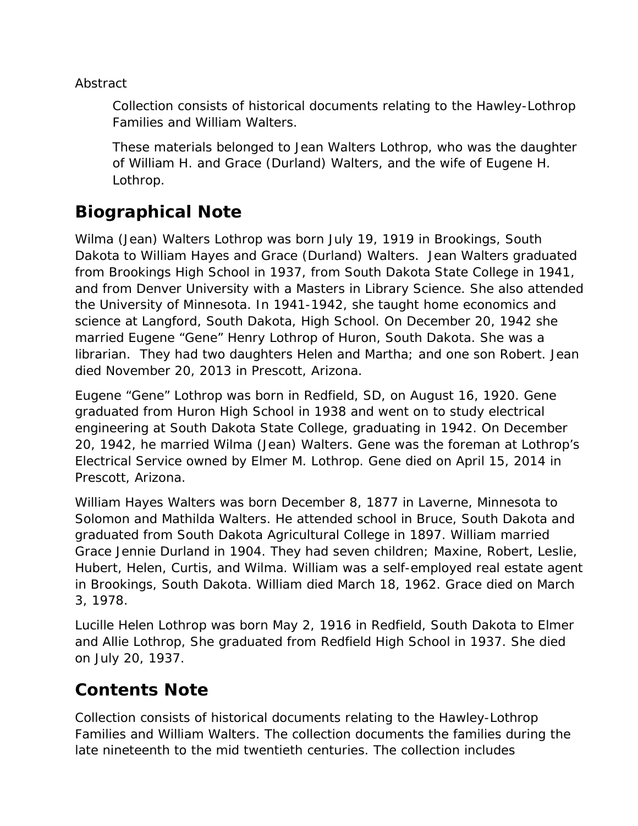*Abstract*

Collection consists of historical documents relating to the Hawley-Lothrop Families and William Walters.

These materials belonged to Jean Walters Lothrop, who was the daughter of William H. and Grace (Durland) Walters, and the wife of Eugene H. Lothrop.

## **Biographical Note**

Wilma (Jean) Walters Lothrop was born July 19, 1919 in Brookings, South Dakota to William Hayes and Grace (Durland) Walters. Jean Walters graduated from Brookings High School in 1937, from South Dakota State College in 1941, and from Denver University with a Masters in Library Science. She also attended the University of Minnesota. In 1941-1942, she taught home economics and science at Langford, South Dakota, High School. On December 20, 1942 she married Eugene "Gene" Henry Lothrop of Huron, South Dakota. She was a librarian. They had two daughters Helen and Martha; and one son Robert. Jean died November 20, 2013 in Prescott, Arizona.

Eugene "Gene" Lothrop was born in Redfield, SD, on August 16, 1920. Gene graduated from Huron High School in 1938 and went on to study electrical engineering at South Dakota State College, graduating in 1942. On December 20, 1942, he married Wilma (Jean) Walters. Gene was the foreman at Lothrop's Electrical Service owned by Elmer M. Lothrop. Gene died on April 15, 2014 in Prescott, Arizona.

William Hayes Walters was born December 8, 1877 in Laverne, Minnesota to Solomon and Mathilda Walters. He attended school in Bruce, South Dakota and graduated from South Dakota Agricultural College in 1897. William married Grace Jennie Durland in 1904. They had seven children; Maxine, Robert, Leslie, Hubert, Helen, Curtis, and Wilma. William was a self-employed real estate agent in Brookings, South Dakota. William died March 18, 1962. Grace died on March 3, 1978.

Lucille Helen Lothrop was born May 2, 1916 in Redfield, South Dakota to Elmer and Allie Lothrop, She graduated from Redfield High School in 1937. She died on July 20, 1937.

### **Contents Note**

Collection consists of historical documents relating to the Hawley-Lothrop Families and William Walters. The collection documents the families during the late nineteenth to the mid twentieth centuries. The collection includes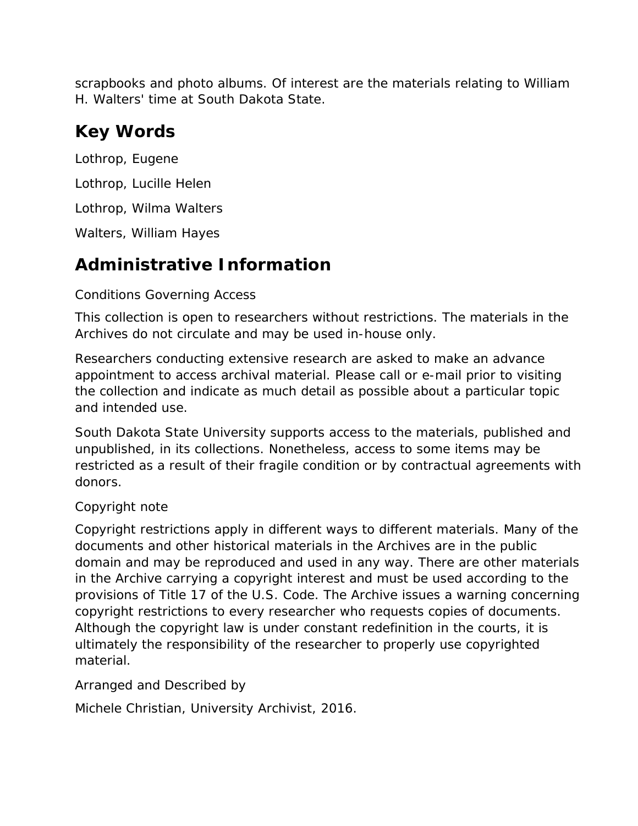scrapbooks and photo albums. Of interest are the materials relating to William H. Walters' time at South Dakota State.

### **Key Words**

Lothrop, Eugene Lothrop, Lucille Helen Lothrop, Wilma Walters

Walters, William Hayes

## **Administrative Information**

#### *Conditions Governing Access*

This collection is open to researchers without restrictions. The materials in the Archives do not circulate and may be used in-house only.

Researchers conducting extensive research are asked to make an advance appointment to access archival material. Please call or e-mail prior to visiting the collection and indicate as much detail as possible about a particular topic and intended use.

South Dakota State University supports access to the materials, published and unpublished, in its collections. Nonetheless, access to some items may be restricted as a result of their fragile condition or by contractual agreements with donors.

### *Copyright note*

Copyright restrictions apply in different ways to different materials. Many of the documents and other historical materials in the Archives are in the public domain and may be reproduced and used in any way. There are other materials in the Archive carrying a copyright interest and must be used according to the provisions of Title 17 of the U.S. Code. The Archive issues a warning concerning copyright restrictions to every researcher who requests copies of documents. Although the copyright law is under constant redefinition in the courts, it is ultimately the responsibility of the researcher to properly use copyrighted material.

#### *Arranged and Described by*

Michele Christian, University Archivist, 2016.